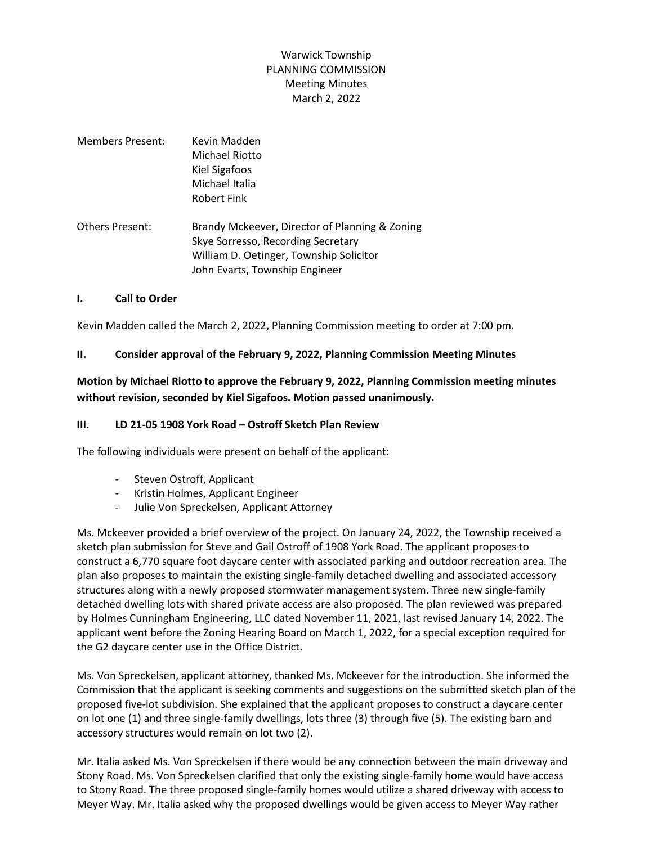# Warwick Township PLANNING COMMISSION Meeting Minutes March 2, 2022

| Members Present: | Kevin Madden<br>Michael Riotto<br>Kiel Sigafoos<br>Michael Italia<br><b>Robert Fink</b>                                                                           |
|------------------|-------------------------------------------------------------------------------------------------------------------------------------------------------------------|
| Others Present:  | Brandy Mckeever, Director of Planning & Zoning<br>Skye Sorresso, Recording Secretary<br>William D. Oetinger, Township Solicitor<br>John Evarts, Township Engineer |

#### **I. Call to Order**

Kevin Madden called the March 2, 2022, Planning Commission meeting to order at 7:00 pm.

#### **II. Consider approval of the February 9, 2022, Planning Commission Meeting Minutes**

### **Motion by Michael Riotto to approve the February 9, 2022, Planning Commission meeting minutes without revision, seconded by Kiel Sigafoos. Motion passed unanimously.**

#### **III. LD 21-05 1908 York Road – Ostroff Sketch Plan Review**

The following individuals were present on behalf of the applicant:

- Steven Ostroff, Applicant
- Kristin Holmes, Applicant Engineer
- Julie Von Spreckelsen, Applicant Attorney

Ms. Mckeever provided a brief overview of the project. On January 24, 2022, the Township received a sketch plan submission for Steve and Gail Ostroff of 1908 York Road. The applicant proposes to construct a 6,770 square foot daycare center with associated parking and outdoor recreation area. The plan also proposes to maintain the existing single-family detached dwelling and associated accessory structures along with a newly proposed stormwater management system. Three new single-family detached dwelling lots with shared private access are also proposed. The plan reviewed was prepared by Holmes Cunningham Engineering, LLC dated November 11, 2021, last revised January 14, 2022. The applicant went before the Zoning Hearing Board on March 1, 2022, for a special exception required for the G2 daycare center use in the Office District.

Ms. Von Spreckelsen, applicant attorney, thanked Ms. Mckeever for the introduction. She informed the Commission that the applicant is seeking comments and suggestions on the submitted sketch plan of the proposed five-lot subdivision. She explained that the applicant proposes to construct a daycare center on lot one (1) and three single-family dwellings, lots three (3) through five (5). The existing barn and accessory structures would remain on lot two (2).

Mr. Italia asked Ms. Von Spreckelsen if there would be any connection between the main driveway and Stony Road. Ms. Von Spreckelsen clarified that only the existing single-family home would have access to Stony Road. The three proposed single-family homes would utilize a shared driveway with access to Meyer Way. Mr. Italia asked why the proposed dwellings would be given access to Meyer Way rather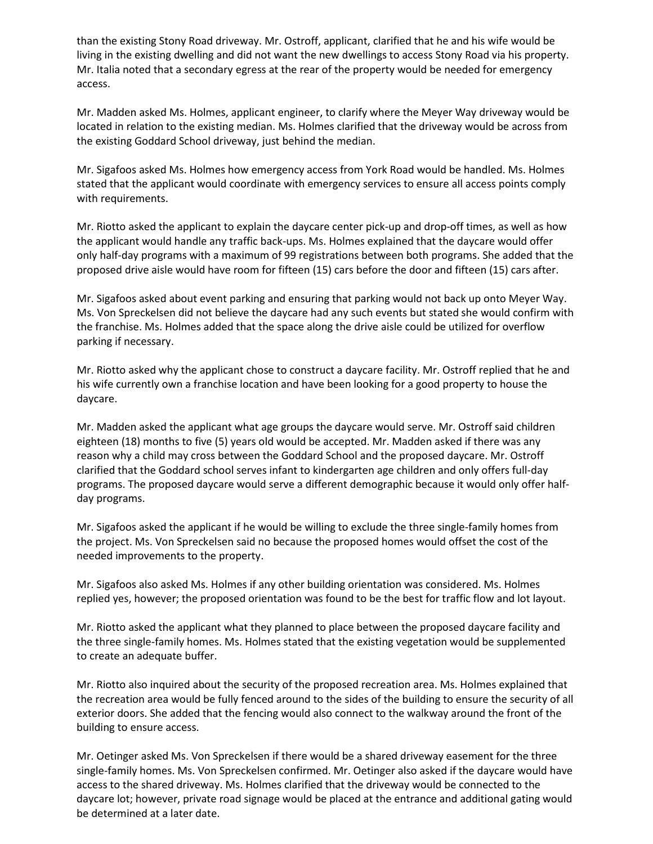than the existing Stony Road driveway. Mr. Ostroff, applicant, clarified that he and his wife would be living in the existing dwelling and did not want the new dwellings to access Stony Road via his property. Mr. Italia noted that a secondary egress at the rear of the property would be needed for emergency access.

Mr. Madden asked Ms. Holmes, applicant engineer, to clarify where the Meyer Way driveway would be located in relation to the existing median. Ms. Holmes clarified that the driveway would be across from the existing Goddard School driveway, just behind the median.

Mr. Sigafoos asked Ms. Holmes how emergency access from York Road would be handled. Ms. Holmes stated that the applicant would coordinate with emergency services to ensure all access points comply with requirements.

Mr. Riotto asked the applicant to explain the daycare center pick-up and drop-off times, as well as how the applicant would handle any traffic back-ups. Ms. Holmes explained that the daycare would offer only half-day programs with a maximum of 99 registrations between both programs. She added that the proposed drive aisle would have room for fifteen (15) cars before the door and fifteen (15) cars after.

Mr. Sigafoos asked about event parking and ensuring that parking would not back up onto Meyer Way. Ms. Von Spreckelsen did not believe the daycare had any such events but stated she would confirm with the franchise. Ms. Holmes added that the space along the drive aisle could be utilized for overflow parking if necessary.

Mr. Riotto asked why the applicant chose to construct a daycare facility. Mr. Ostroff replied that he and his wife currently own a franchise location and have been looking for a good property to house the daycare.

Mr. Madden asked the applicant what age groups the daycare would serve. Mr. Ostroff said children eighteen (18) months to five (5) years old would be accepted. Mr. Madden asked if there was any reason why a child may cross between the Goddard School and the proposed daycare. Mr. Ostroff clarified that the Goddard school serves infant to kindergarten age children and only offers full-day programs. The proposed daycare would serve a different demographic because it would only offer halfday programs.

Mr. Sigafoos asked the applicant if he would be willing to exclude the three single-family homes from the project. Ms. Von Spreckelsen said no because the proposed homes would offset the cost of the needed improvements to the property.

Mr. Sigafoos also asked Ms. Holmes if any other building orientation was considered. Ms. Holmes replied yes, however; the proposed orientation was found to be the best for traffic flow and lot layout.

Mr. Riotto asked the applicant what they planned to place between the proposed daycare facility and the three single-family homes. Ms. Holmes stated that the existing vegetation would be supplemented to create an adequate buffer.

Mr. Riotto also inquired about the security of the proposed recreation area. Ms. Holmes explained that the recreation area would be fully fenced around to the sides of the building to ensure the security of all exterior doors. She added that the fencing would also connect to the walkway around the front of the building to ensure access.

Mr. Oetinger asked Ms. Von Spreckelsen if there would be a shared driveway easement for the three single-family homes. Ms. Von Spreckelsen confirmed. Mr. Oetinger also asked if the daycare would have access to the shared driveway. Ms. Holmes clarified that the driveway would be connected to the daycare lot; however, private road signage would be placed at the entrance and additional gating would be determined at a later date.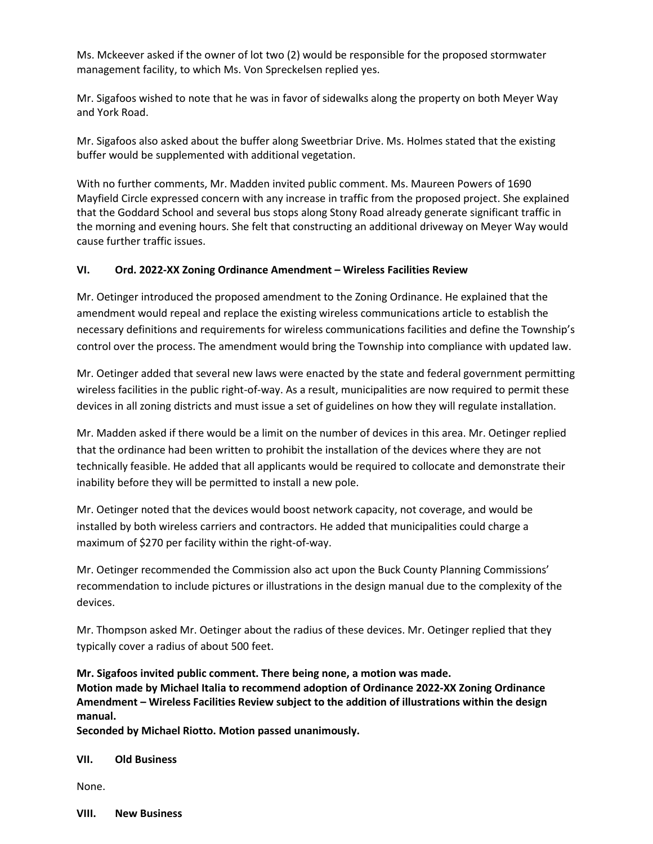Ms. Mckeever asked if the owner of lot two (2) would be responsible for the proposed stormwater management facility, to which Ms. Von Spreckelsen replied yes.

Mr. Sigafoos wished to note that he was in favor of sidewalks along the property on both Meyer Way and York Road.

Mr. Sigafoos also asked about the buffer along Sweetbriar Drive. Ms. Holmes stated that the existing buffer would be supplemented with additional vegetation.

With no further comments, Mr. Madden invited public comment. Ms. Maureen Powers of 1690 Mayfield Circle expressed concern with any increase in traffic from the proposed project. She explained that the Goddard School and several bus stops along Stony Road already generate significant traffic in the morning and evening hours. She felt that constructing an additional driveway on Meyer Way would cause further traffic issues.

### **VI. Ord. 2022-XX Zoning Ordinance Amendment – Wireless Facilities Review**

Mr. Oetinger introduced the proposed amendment to the Zoning Ordinance. He explained that the amendment would repeal and replace the existing wireless communications article to establish the necessary definitions and requirements for wireless communications facilities and define the Township's control over the process. The amendment would bring the Township into compliance with updated law.

Mr. Oetinger added that several new laws were enacted by the state and federal government permitting wireless facilities in the public right-of-way. As a result, municipalities are now required to permit these devices in all zoning districts and must issue a set of guidelines on how they will regulate installation.

Mr. Madden asked if there would be a limit on the number of devices in this area. Mr. Oetinger replied that the ordinance had been written to prohibit the installation of the devices where they are not technically feasible. He added that all applicants would be required to collocate and demonstrate their inability before they will be permitted to install a new pole.

Mr. Oetinger noted that the devices would boost network capacity, not coverage, and would be installed by both wireless carriers and contractors. He added that municipalities could charge a maximum of \$270 per facility within the right-of-way.

Mr. Oetinger recommended the Commission also act upon the Buck County Planning Commissions' recommendation to include pictures or illustrations in the design manual due to the complexity of the devices.

Mr. Thompson asked Mr. Oetinger about the radius of these devices. Mr. Oetinger replied that they typically cover a radius of about 500 feet.

**Mr. Sigafoos invited public comment. There being none, a motion was made. Motion made by Michael Italia to recommend adoption of Ordinance 2022-XX Zoning Ordinance Amendment – Wireless Facilities Review subject to the addition of illustrations within the design manual.**

**Seconded by Michael Riotto. Motion passed unanimously.**

**VII. Old Business**

None.

**VIII. New Business**